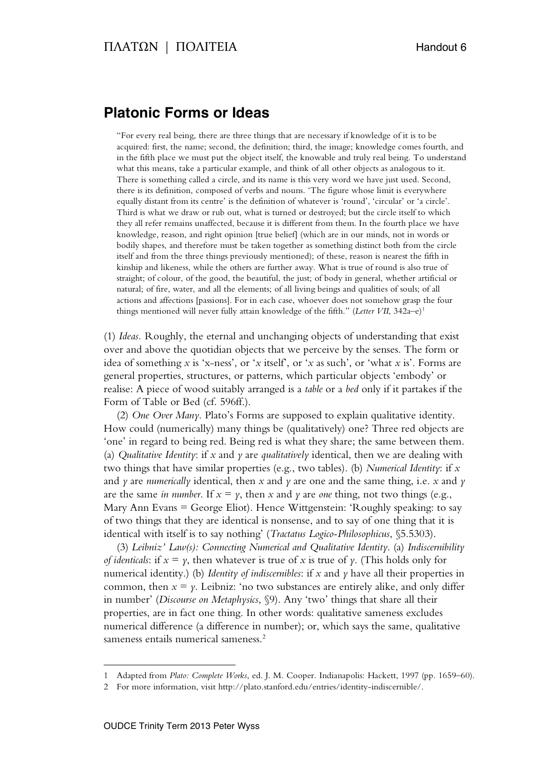## **Platonic Forms or Ideas**

"For every real being, there are three things that are necessary if knowledge of it is to be acquired: first, the name; second, the definition; third, the image; knowledge comes fourth, and in the fifth place we must put the object itself, the knowable and truly real being. To understand what this means, take a particular example, and think of all other objects as analogous to it. There is something called a circle, and its name is this very word we have just used. Second, there is its definition, composed of verbs and nouns. 'The figure whose limit is everywhere equally distant from its centre' is the definition of whatever is 'round', 'circular' or 'a circle'. Third is what we draw or rub out, what is turned or destroyed; but the circle itself to which they all refer remains unaffected, because it is different from them. In the fourth place we have knowledge, reason, and right opinion [true belief] (which are in our minds, not in words or bodily shapes, and therefore must be taken together as something distinct both from the circle itself and from the three things previously mentioned); of these, reason is nearest the fifth in kinship and likeness, while the others are further away. What is true of round is also true of straight; of colour, of the good, the beautiful, the just; of body in general, whether artificial or natural; of fire, water, and all the elements; of all living beings and qualities of souls; of all actions and affections [passions]. For in each case, whoever does not somehow grasp the four things mentioned will never fully attain knowledge of the fifth." (*Letter VII*, 342a–e) 1

(1) *Ideas.* Roughly, the eternal and unchanging objects of understanding that exist over and above the quotidian objects that we perceive by the senses. The form or idea of something  $x$  is 'x-ness', or 'x itself', or 'x as such', or 'what  $x$  is'. Forms are general properties, structures, or patterns, which particular objects 'embody' or realise: A piece of wood suitably arranged is a *table* or a *bed* only if it partakes if the Form of Table or Bed (cf. 596ff.).

(2) *One Over Many*. Plato's Forms are supposed to explain qualitative identity. How could (numerically) many things be (qualitatively) one? Three red objects are 'one' in regard to being red. Being red is what they share; the same between them. (a) *Qualitative Identity*: if *x* and *y* are *qualitatively* identical, then we are dealing with two things that have similar properties (e.g., two tables). (b) *Numerical Identity*: if *x* and *y* are *numerically* identical, then *x* and *y* are one and the same thing, i.e. *x* and *y* are the same *in number*. If  $x = y$ , then x and y are *one* thing, not two things (e.g., Mary Ann Evans = George Eliot). Hence Wittgenstein: 'Roughly speaking: to say of two things that they are identical is nonsense, and to say of one thing that it is identical with itself is to say nothing' (*Tractatus Logico-Philosophicus*, §5.5303).

(3) *Leibniz' Law(s): Connecting Numerical and Qualitative Identity*. (a) *Indiscernibility of identicals*: if  $x = y$ , then whatever is true of x is true of y. (This holds only for numerical identity.) (b) *Identity of indiscernibles*: if *x* and *y* have all their properties in common, then  $x = y$ . Leibniz: 'no two substances are entirely alike, and only differ in number' (*Discourse on Metaphysics*, §9). Any 'two' things that share all their properties, are in fact one thing. In other words: qualitative sameness excludes numerical difference (a difference in number); or, which says the same, qualitative sameness entails numerical sameness. 2

 $\overline{a}$ 

<sup>1</sup> Adapted from *Plato: Complete Works*, ed. J. M. Cooper. Indianapolis: Hackett, 1997 (pp. 1659–60).

<sup>2</sup> For more information, visit http://plato.stanford.edu/entries/identity-indiscernible/.